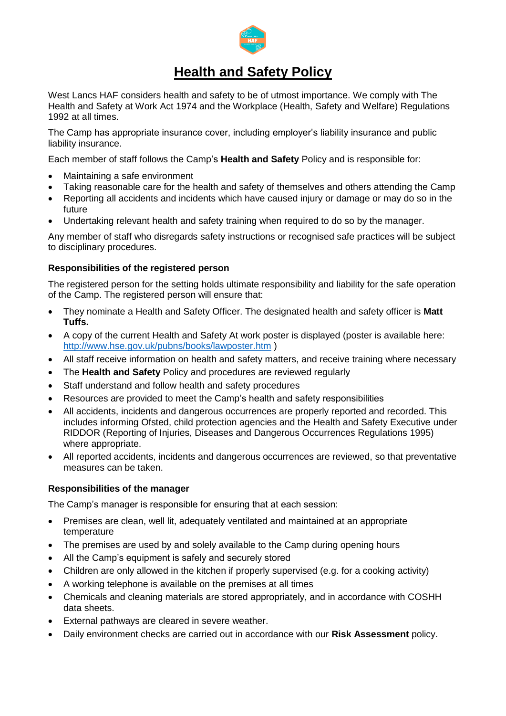

# **Health and Safety Policy**

West Lancs HAF considers health and safety to be of utmost importance. We comply with The Health and Safety at Work Act 1974 and the Workplace (Health, Safety and Welfare) Regulations 1992 at all times.

The Camp has appropriate insurance cover, including employer's liability insurance and public liability insurance.

Each member of staff follows the Camp's **Health and Safety** Policy and is responsible for:

- Maintaining a safe environment
- Taking reasonable care for the health and safety of themselves and others attending the Camp
- Reporting all accidents and incidents which have caused injury or damage or may do so in the future
- Undertaking relevant health and safety training when required to do so by the manager.

Any member of staff who disregards safety instructions or recognised safe practices will be subject to disciplinary procedures.

# **Responsibilities of the registered person**

The registered person for the setting holds ultimate responsibility and liability for the safe operation of the Camp. The registered person will ensure that:

- They nominate a Health and Safety Officer. The designated health and safety officer is **Matt Tuffs.**
- A copy of the current Health and Safety At work poster is displayed (poster is available here: <http://www.hse.gov.uk/pubns/books/lawposter.htm> )
- All staff receive information on health and safety matters, and receive training where necessary
- The **Health and Safety** Policy and procedures are reviewed regularly
- Staff understand and follow health and safety procedures
- Resources are provided to meet the Camp's health and safety responsibilities
- All accidents, incidents and dangerous occurrences are properly reported and recorded. This includes informing Ofsted, child protection agencies and the Health and Safety Executive under RIDDOR (Reporting of Injuries, Diseases and Dangerous Occurrences Regulations 1995) where appropriate.
- All reported accidents, incidents and dangerous occurrences are reviewed, so that preventative measures can be taken.

# **Responsibilities of the manager**

The Camp's manager is responsible for ensuring that at each session:

- Premises are clean, well lit, adequately ventilated and maintained at an appropriate temperature
- The premises are used by and solely available to the Camp during opening hours
- All the Camp's equipment is safely and securely stored
- Children are only allowed in the kitchen if properly supervised (e.g. for a cooking activity)
- A working telephone is available on the premises at all times
- Chemicals and cleaning materials are stored appropriately, and in accordance with COSHH data sheets.
- External pathways are cleared in severe weather.
- Daily environment checks are carried out in accordance with our **Risk Assessment** policy.